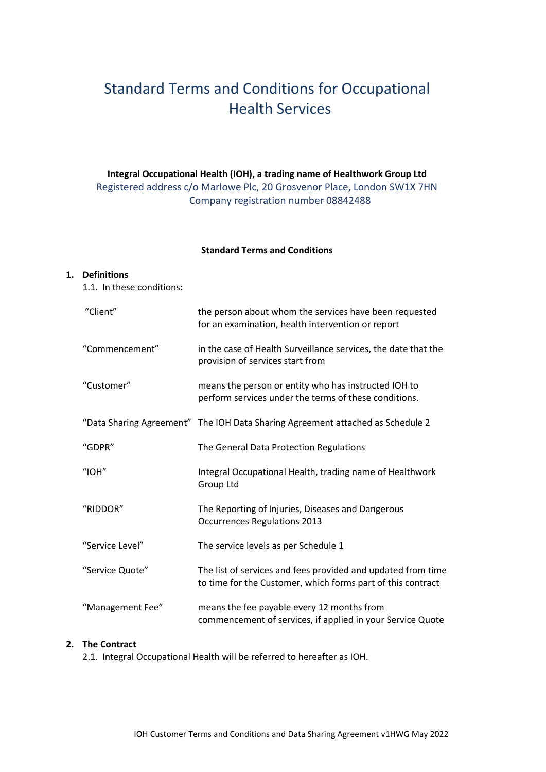## Standard Terms and Conditions for Occupational Health Services

## **Integral Occupational Health (IOH), a trading name of Healthwork Group Ltd** Registered address c/o Marlowe Plc, 20 Grosvenor Place, London SW1X 7HN Company registration number 08842488

#### **Standard Terms and Conditions**

#### **1. Definitions**

1.1. In these conditions:

| "Client"         | the person about whom the services have been requested<br>for an examination, health intervention or report                 |
|------------------|-----------------------------------------------------------------------------------------------------------------------------|
| "Commencement"   | in the case of Health Surveillance services, the date that the<br>provision of services start from                          |
| "Customer"       | means the person or entity who has instructed IOH to<br>perform services under the terms of these conditions.               |
|                  | "Data Sharing Agreement" The IOH Data Sharing Agreement attached as Schedule 2                                              |
| "GDPR"           | The General Data Protection Regulations                                                                                     |
| $"$ IOH $"$      | Integral Occupational Health, trading name of Healthwork<br>Group Ltd                                                       |
| "RIDDOR"         | The Reporting of Injuries, Diseases and Dangerous<br><b>Occurrences Regulations 2013</b>                                    |
| "Service Level"  | The service levels as per Schedule 1                                                                                        |
| "Service Quote"  | The list of services and fees provided and updated from time<br>to time for the Customer, which forms part of this contract |
| "Management Fee" | means the fee payable every 12 months from<br>commencement of services, if applied in your Service Quote                    |

## **2. The Contract**

2.1. Integral Occupational Health will be referred to hereafter as IOH.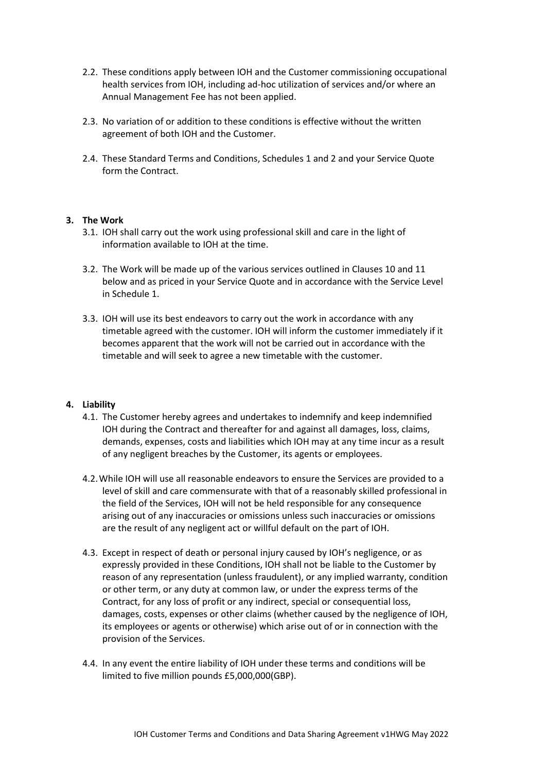- 2.2. These conditions apply between IOH and the Customer commissioning occupational health services from IOH, including ad-hoc utilization of services and/or where an Annual Management Fee has not been applied.
- 2.3. No variation of or addition to these conditions is effective without the written agreement of both IOH and the Customer.
- 2.4. These Standard Terms and Conditions, Schedules 1 and 2 and your Service Quote form the Contract.

#### **3. The Work**

- 3.1. IOH shall carry out the work using professional skill and care in the light of information available to IOH at the time.
- 3.2. The Work will be made up of the various services outlined in Clauses 10 and 11 below and as priced in your Service Quote and in accordance with the Service Level in Schedule 1.
- 3.3. IOH will use its best endeavors to carry out the work in accordance with any timetable agreed with the customer. IOH will inform the customer immediately if it becomes apparent that the work will not be carried out in accordance with the timetable and will seek to agree a new timetable with the customer.

#### **4. Liability**

- 4.1. The Customer hereby agrees and undertakes to indemnify and keep indemnified IOH during the Contract and thereafter for and against all damages, loss, claims, demands, expenses, costs and liabilities which IOH may at any time incur as a result of any negligent breaches by the Customer, its agents or employees.
- 4.2.While IOH will use all reasonable endeavors to ensure the Services are provided to a level of skill and care commensurate with that of a reasonably skilled professional in the field of the Services, IOH will not be held responsible for any consequence arising out of any inaccuracies or omissions unless such inaccuracies or omissions are the result of any negligent act or willful default on the part of IOH.
- 4.3. Except in respect of death or personal injury caused by IOH's negligence, or as expressly provided in these Conditions, IOH shall not be liable to the Customer by reason of any representation (unless fraudulent), or any implied warranty, condition or other term, or any duty at common law, or under the express terms of the Contract, for any loss of profit or any indirect, special or consequential loss, damages, costs, expenses or other claims (whether caused by the negligence of IOH, its employees or agents or otherwise) which arise out of or in connection with the provision of the Services.
- 4.4. In any event the entire liability of IOH under these terms and conditions will be limited to five million pounds £5,000,000(GBP).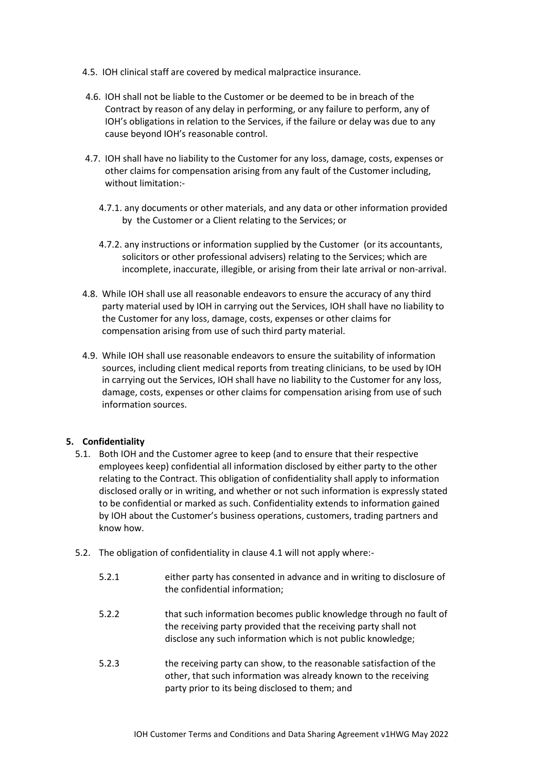- 4.5. IOH clinical staff are covered by medical malpractice insurance.
- 4.6. IOH shall not be liable to the Customer or be deemed to be in breach of the Contract by reason of any delay in performing, or any failure to perform, any of IOH's obligations in relation to the Services, if the failure or delay was due to any cause beyond IOH's reasonable control.
- 4.7. IOH shall have no liability to the Customer for any loss, damage, costs, expenses or other claims for compensation arising from any fault of the Customer including, without limitation:-
	- 4.7.1. any documents or other materials, and any data or other information provided by the Customer or a Client relating to the Services; or
	- 4.7.2. any instructions or information supplied by the Customer (or its accountants, solicitors or other professional advisers) relating to the Services; which are incomplete, inaccurate, illegible, or arising from their late arrival or non-arrival.
- 4.8. While IOH shall use all reasonable endeavors to ensure the accuracy of any third party material used by IOH in carrying out the Services, IOH shall have no liability to the Customer for any loss, damage, costs, expenses or other claims for compensation arising from use of such third party material.
- 4.9. While IOH shall use reasonable endeavors to ensure the suitability of information sources, including client medical reports from treating clinicians, to be used by IOH in carrying out the Services, IOH shall have no liability to the Customer for any loss, damage, costs, expenses or other claims for compensation arising from use of such information sources.

#### **5. Confidentiality**

- 5.1. Both IOH and the Customer agree to keep (and to ensure that their respective employees keep) confidential all information disclosed by either party to the other relating to the Contract. This obligation of confidentiality shall apply to information disclosed orally or in writing, and whether or not such information is expressly stated to be confidential or marked as such. Confidentiality extends to information gained by IOH about the Customer's business operations, customers, trading partners and know how.
- 5.2. The obligation of confidentiality in clause 4.1 will not apply where:-

| 5.2.1 | either party has consented in advance and in writing to disclosure of |
|-------|-----------------------------------------------------------------------|
|       | the confidential information;                                         |
|       |                                                                       |

- 5.2.2 that such information becomes public knowledge through no fault of the receiving party provided that the receiving party shall not disclose any such information which is not public knowledge;
- 5.2.3 the receiving party can show, to the reasonable satisfaction of the other, that such information was already known to the receiving party prior to its being disclosed to them; and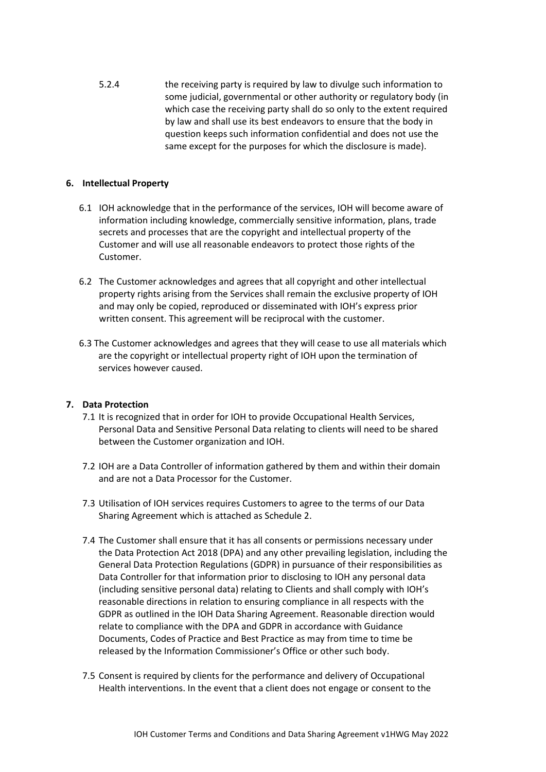5.2.4 the receiving party is required by law to divulge such information to some judicial, governmental or other authority or regulatory body (in which case the receiving party shall do so only to the extent required by law and shall use its best endeavors to ensure that the body in question keeps such information confidential and does not use the same except for the purposes for which the disclosure is made).

#### **6. Intellectual Property**

- 6.1 IOH acknowledge that in the performance of the services, IOH will become aware of information including knowledge, commercially sensitive information, plans, trade secrets and processes that are the copyright and intellectual property of the Customer and will use all reasonable endeavors to protect those rights of the Customer.
- 6.2 The Customer acknowledges and agrees that all copyright and other intellectual property rights arising from the Services shall remain the exclusive property of IOH and may only be copied, reproduced or disseminated with IOH's express prior written consent. This agreement will be reciprocal with the customer.
- 6.3 The Customer acknowledges and agrees that they will cease to use all materials which are the copyright or intellectual property right of IOH upon the termination of services however caused.

#### **7. Data Protection**

- 7.1 It is recognized that in order for IOH to provide Occupational Health Services, Personal Data and Sensitive Personal Data relating to clients will need to be shared between the Customer organization and IOH.
- 7.2 IOH are a Data Controller of information gathered by them and within their domain and are not a Data Processor for the Customer.
- 7.3 Utilisation of IOH services requires Customers to agree to the terms of our Data Sharing Agreement which is attached as Schedule 2.
- 7.4 The Customer shall ensure that it has all consents or permissions necessary under the Data Protection Act 2018 (DPA) and any other prevailing legislation, including the General Data Protection Regulations (GDPR) in pursuance of their responsibilities as Data Controller for that information prior to disclosing to IOH any personal data (including sensitive personal data) relating to Clients and shall comply with IOH's reasonable directions in relation to ensuring compliance in all respects with the GDPR as outlined in the IOH Data Sharing Agreement. Reasonable direction would relate to compliance with the DPA and GDPR in accordance with Guidance Documents, Codes of Practice and Best Practice as may from time to time be released by the Information Commissioner's Office or other such body.
- 7.5 Consent is required by clients for the performance and delivery of Occupational Health interventions. In the event that a client does not engage or consent to the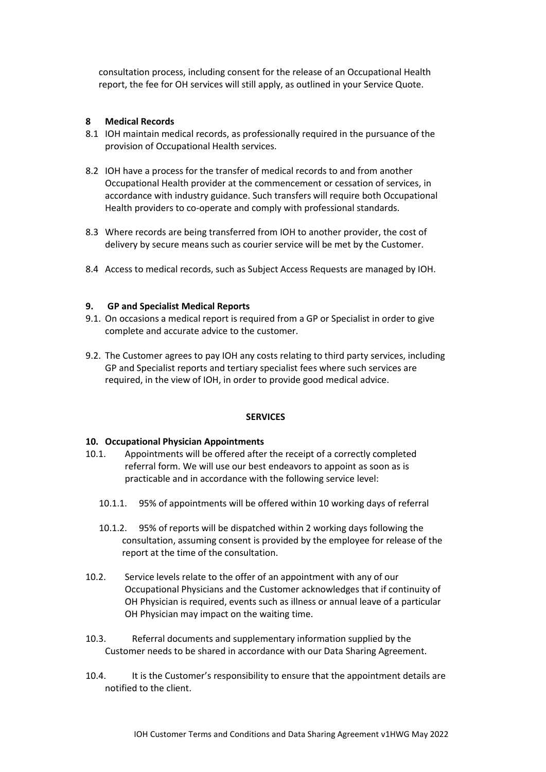consultation process, including consent for the release of an Occupational Health report, the fee for OH services will still apply, as outlined in your Service Quote.

#### **8 Medical Records**

- 8.1 IOH maintain medical records, as professionally required in the pursuance of the provision of Occupational Health services.
- 8.2 IOH have a process for the transfer of medical records to and from another Occupational Health provider at the commencement or cessation of services, in accordance with industry guidance. Such transfers will require both Occupational Health providers to co-operate and comply with professional standards.
- 8.3 Where records are being transferred from IOH to another provider, the cost of delivery by secure means such as courier service will be met by the Customer.
- 8.4 Access to medical records, such as Subject Access Requests are managed by IOH.

#### **9. GP and Specialist Medical Reports**

- 9.1. On occasions a medical report is required from a GP or Specialist in order to give complete and accurate advice to the customer.
- 9.2. The Customer agrees to pay IOH any costs relating to third party services, including GP and Specialist reports and tertiary specialist fees where such services are required, in the view of IOH, in order to provide good medical advice.

#### **SERVICES**

#### **10. Occupational Physician Appointments**

- 10.1. Appointments will be offered after the receipt of a correctly completed referral form. We will use our best endeavors to appoint as soon as is practicable and in accordance with the following service level:
	- 10.1.1. 95% of appointments will be offered within 10 working days of referral
	- 10.1.2. 95% of reports will be dispatched within 2 working days following the consultation, assuming consent is provided by the employee for release of the report at the time of the consultation.
- 10.2. Service levels relate to the offer of an appointment with any of our Occupational Physicians and the Customer acknowledges that if continuity of OH Physician is required, events such as illness or annual leave of a particular OH Physician may impact on the waiting time.
- 10.3. Referral documents and supplementary information supplied by the Customer needs to be shared in accordance with our Data Sharing Agreement.
- 10.4. It is the Customer's responsibility to ensure that the appointment details are notified to the client.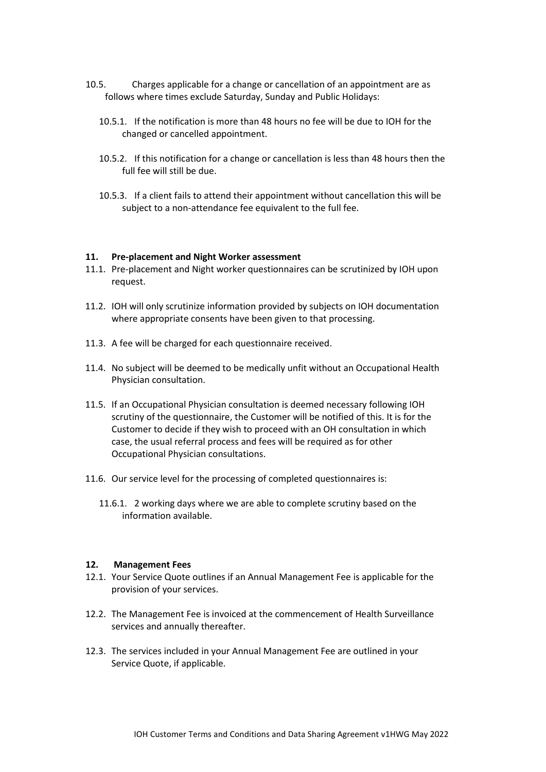- 10.5. Charges applicable for a change or cancellation of an appointment are as follows where times exclude Saturday, Sunday and Public Holidays:
	- 10.5.1. If the notification is more than 48 hours no fee will be due to IOH for the changed or cancelled appointment.
	- 10.5.2. If this notification for a change or cancellation is less than 48 hours then the full fee will still be due.
	- 10.5.3. If a client fails to attend their appointment without cancellation this will be subject to a non-attendance fee equivalent to the full fee.

#### **11. Pre-placement and Night Worker assessment**

- 11.1. Pre-placement and Night worker questionnaires can be scrutinized by IOH upon request.
- 11.2. IOH will only scrutinize information provided by subjects on IOH documentation where appropriate consents have been given to that processing.
- 11.3. A fee will be charged for each questionnaire received.
- 11.4. No subject will be deemed to be medically unfit without an Occupational Health Physician consultation.
- 11.5. If an Occupational Physician consultation is deemed necessary following IOH scrutiny of the questionnaire, the Customer will be notified of this. It is for the Customer to decide if they wish to proceed with an OH consultation in which case, the usual referral process and fees will be required as for other Occupational Physician consultations.
- 11.6. Our service level for the processing of completed questionnaires is:
	- 11.6.1. 2 working days where we are able to complete scrutiny based on the information available.

#### **12. Management Fees**

- 12.1. Your Service Quote outlines if an Annual Management Fee is applicable for the provision of your services.
- 12.2. The Management Fee is invoiced at the commencement of Health Surveillance services and annually thereafter.
- 12.3. The services included in your Annual Management Fee are outlined in your Service Quote, if applicable.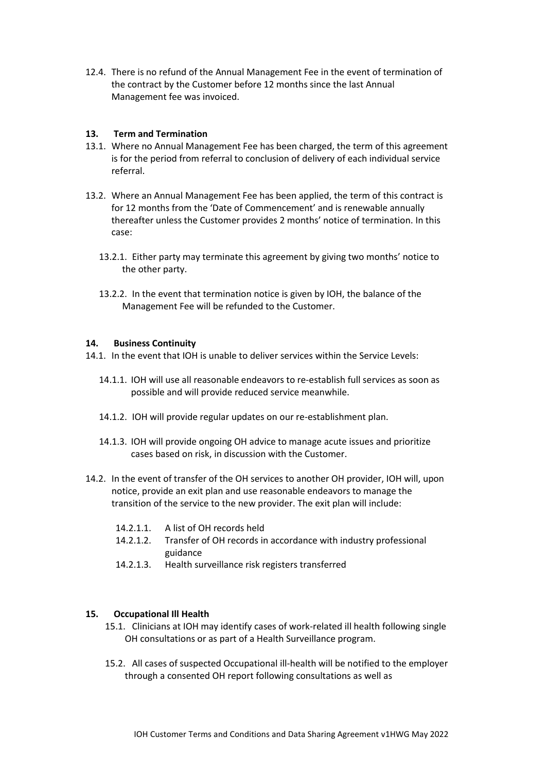12.4. There is no refund of the Annual Management Fee in the event of termination of the contract by the Customer before 12 months since the last Annual Management fee was invoiced.

#### **13. Term and Termination**

- 13.1. Where no Annual Management Fee has been charged, the term of this agreement is for the period from referral to conclusion of delivery of each individual service referral.
- 13.2. Where an Annual Management Fee has been applied, the term of this contract is for 12 months from the 'Date of Commencement' and is renewable annually thereafter unless the Customer provides 2 months' notice of termination. In this case:
	- 13.2.1. Either party may terminate this agreement by giving two months' notice to the other party.
	- 13.2.2. In the event that termination notice is given by IOH, the balance of the Management Fee will be refunded to the Customer.

#### **14. Business Continuity**

14.1. In the event that IOH is unable to deliver services within the Service Levels:

- 14.1.1. IOH will use all reasonable endeavors to re-establish full services as soon as possible and will provide reduced service meanwhile.
- 14.1.2. IOH will provide regular updates on our re-establishment plan.
- 14.1.3. IOH will provide ongoing OH advice to manage acute issues and prioritize cases based on risk, in discussion with the Customer.
- 14.2. In the event of transfer of the OH services to another OH provider, IOH will, upon notice, provide an exit plan and use reasonable endeavors to manage the transition of the service to the new provider. The exit plan will include:
	- 14.2.1.1. A list of OH records held
	- 14.2.1.2. Transfer of OH records in accordance with industry professional guidance
	- 14.2.1.3. Health surveillance risk registers transferred

#### **15. Occupational Ill Health**

- 15.1. Clinicians at IOH may identify cases of work-related ill health following single OH consultations or as part of a Health Surveillance program.
- 15.2. All cases of suspected Occupational ill-health will be notified to the employer through a consented OH report following consultations as well as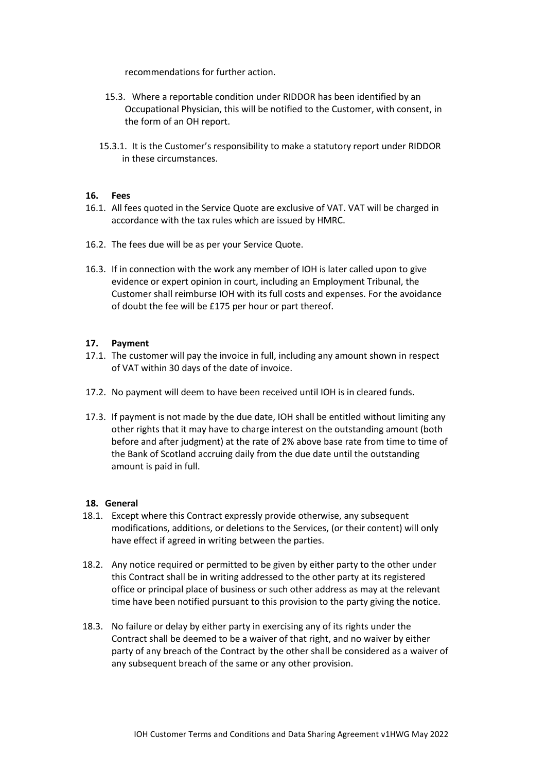recommendations for further action.

- 15.3. Where a reportable condition under RIDDOR has been identified by an Occupational Physician, this will be notified to the Customer, with consent, in the form of an OH report.
- 15.3.1. It is the Customer's responsibility to make a statutory report under RIDDOR in these circumstances.

#### **16. Fees**

- 16.1. All fees quoted in the Service Quote are exclusive of VAT. VAT will be charged in accordance with the tax rules which are issued by HMRC.
- 16.2. The fees due will be as per your Service Quote.
- 16.3. If in connection with the work any member of IOH is later called upon to give evidence or expert opinion in court, including an Employment Tribunal, the Customer shall reimburse IOH with its full costs and expenses. For the avoidance of doubt the fee will be £175 per hour or part thereof.

#### **17. Payment**

- 17.1. The customer will pay the invoice in full, including any amount shown in respect of VAT within 30 days of the date of invoice.
- 17.2. No payment will deem to have been received until IOH is in cleared funds.
- 17.3. If payment is not made by the due date, IOH shall be entitled without limiting any other rights that it may have to charge interest on the outstanding amount (both before and after judgment) at the rate of 2% above base rate from time to time of the Bank of Scotland accruing daily from the due date until the outstanding amount is paid in full.

#### **18. General**

- 18.1. Except where this Contract expressly provide otherwise, any subsequent modifications, additions, or deletions to the Services, (or their content) will only have effect if agreed in writing between the parties.
- 18.2. Any notice required or permitted to be given by either party to the other under this Contract shall be in writing addressed to the other party at its registered office or principal place of business or such other address as may at the relevant time have been notified pursuant to this provision to the party giving the notice.
- 18.3. No failure or delay by either party in exercising any of its rights under the Contract shall be deemed to be a waiver of that right, and no waiver by either party of any breach of the Contract by the other shall be considered as a waiver of any subsequent breach of the same or any other provision.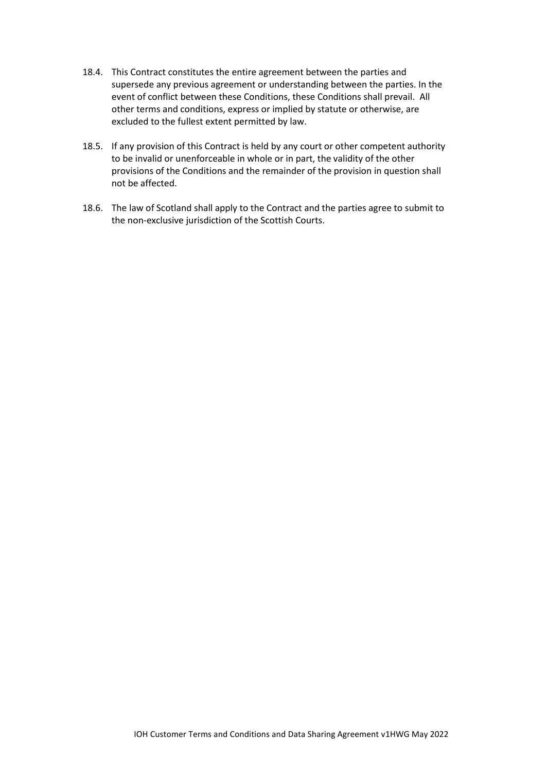- 18.4. This Contract constitutes the entire agreement between the parties and supersede any previous agreement or understanding between the parties. In the event of conflict between these Conditions, these Conditions shall prevail. All other terms and conditions, express or implied by statute or otherwise, are excluded to the fullest extent permitted by law.
- 18.5. If any provision of this Contract is held by any court or other competent authority to be invalid or unenforceable in whole or in part, the validity of the other provisions of the Conditions and the remainder of the provision in question shall not be affected.
- 18.6. The law of Scotland shall apply to the Contract and the parties agree to submit to the non-exclusive jurisdiction of the Scottish Courts.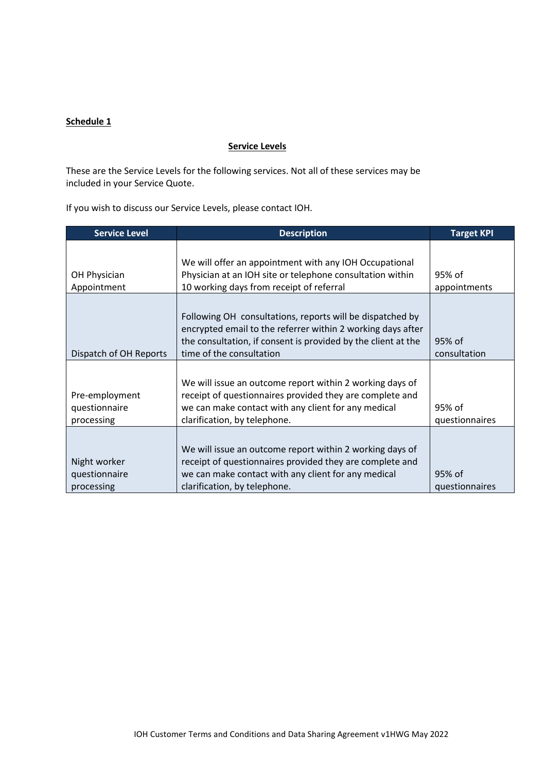#### **Schedule 1**

#### **Service Levels**

These are the Service Levels for the following services. Not all of these services may be included in your Service Quote.

If you wish to discuss our Service Levels, please contact IOH.

| <b>Service Level</b>                          | <b>Description</b>                                                                                                                                                                                                    | <b>Target KPI</b>        |
|-----------------------------------------------|-----------------------------------------------------------------------------------------------------------------------------------------------------------------------------------------------------------------------|--------------------------|
|                                               | We will offer an appointment with any IOH Occupational                                                                                                                                                                |                          |
| OH Physician                                  | Physician at an IOH site or telephone consultation within                                                                                                                                                             | 95% of                   |
| Appointment                                   | 10 working days from receipt of referral                                                                                                                                                                              | appointments             |
| Dispatch of OH Reports                        | Following OH consultations, reports will be dispatched by<br>encrypted email to the referrer within 2 working days after<br>the consultation, if consent is provided by the client at the<br>time of the consultation | 95% of<br>consultation   |
| Pre-employment<br>questionnaire<br>processing | We will issue an outcome report within 2 working days of<br>receipt of questionnaires provided they are complete and<br>we can make contact with any client for any medical<br>clarification, by telephone.           | 95% of<br>questionnaires |
| Night worker<br>questionnaire<br>processing   | We will issue an outcome report within 2 working days of<br>receipt of questionnaires provided they are complete and<br>we can make contact with any client for any medical<br>clarification, by telephone.           | 95% of<br>questionnaires |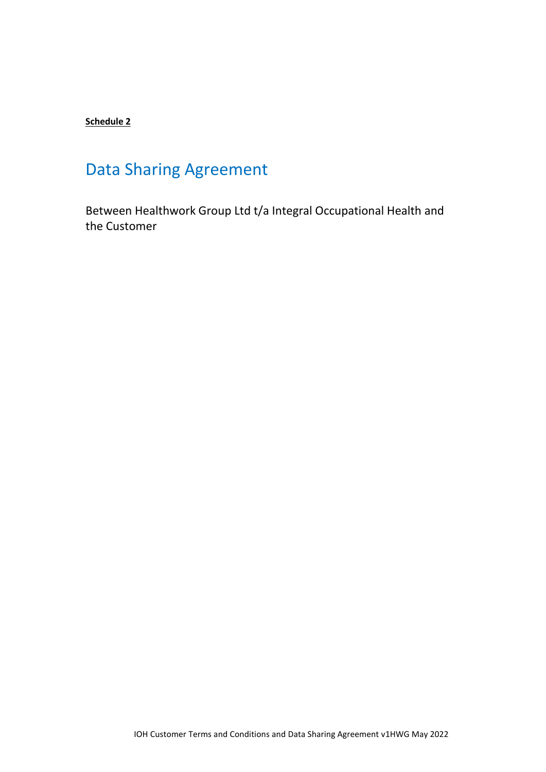## **Schedule 2**

# Data Sharing Agreement

Between Healthwork Group Ltd t/a Integral Occupational Health and the Customer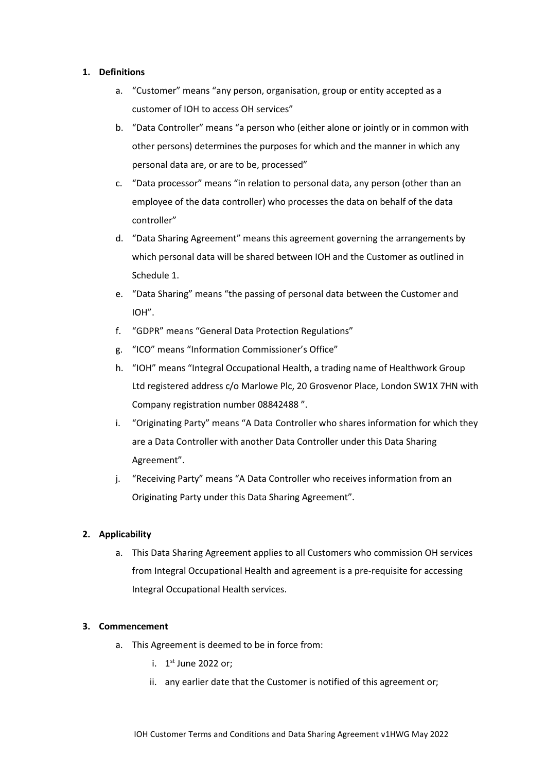#### **1. Definitions**

- a. "Customer" means "any person, organisation, group or entity accepted as a customer of IOH to access OH services"
- b. "Data Controller" means "a person who (either alone or jointly or in common with other persons) determines the purposes for which and the manner in which any personal data are, or are to be, processed"
- c. "Data processor" means "in relation to personal data, any person (other than an employee of the data controller) who processes the data on behalf of the data controller"
- d. "Data Sharing Agreement" means this agreement governing the arrangements by which personal data will be shared between IOH and the Customer as outlined in Schedule 1.
- e. "Data Sharing" means "the passing of personal data between the Customer and IOH".
- f. "GDPR" means "General Data Protection Regulations"
- g. "ICO" means "Information Commissioner's Office"
- h. "IOH" means "Integral Occupational Health, a trading name of Healthwork Group Ltd registered address c/o Marlowe Plc, 20 Grosvenor Place, London SW1X 7HN with Company registration number 08842488 ".
- i. "Originating Party" means "A Data Controller who shares information for which they are a Data Controller with another Data Controller under this Data Sharing Agreement".
- j. "Receiving Party" means "A Data Controller who receives information from an Originating Party under this Data Sharing Agreement".

#### **2. Applicability**

a. This Data Sharing Agreement applies to all Customers who commission OH services from Integral Occupational Health and agreement is a pre-requisite for accessing Integral Occupational Health services.

#### **3. Commencement**

- a. This Agreement is deemed to be in force from:
	- i. 1<sup>st</sup> June 2022 or;
	- ii. any earlier date that the Customer is notified of this agreement or;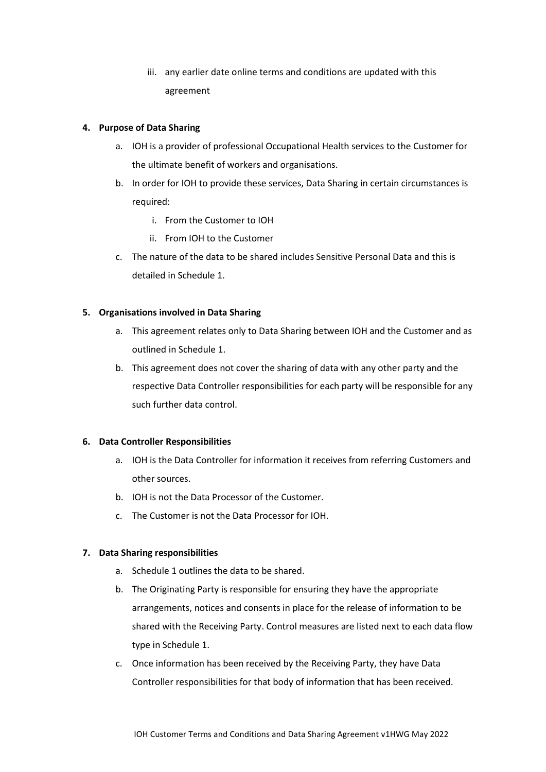iii. any earlier date online terms and conditions are updated with this agreement

#### **4. Purpose of Data Sharing**

- a. IOH is a provider of professional Occupational Health services to the Customer for the ultimate benefit of workers and organisations.
- b. In order for IOH to provide these services, Data Sharing in certain circumstances is required:
	- i. From the Customer to IOH
	- ii. From IOH to the Customer
- c. The nature of the data to be shared includes Sensitive Personal Data and this is detailed in Schedule 1.

#### **5. Organisations involved in Data Sharing**

- a. This agreement relates only to Data Sharing between IOH and the Customer and as outlined in Schedule 1.
- b. This agreement does not cover the sharing of data with any other party and the respective Data Controller responsibilities for each party will be responsible for any such further data control.

## **6. Data Controller Responsibilities**

- a. IOH is the Data Controller for information it receives from referring Customers and other sources.
- b. IOH is not the Data Processor of the Customer.
- c. The Customer is not the Data Processor for IOH.

## **7. Data Sharing responsibilities**

- a. Schedule 1 outlines the data to be shared.
- b. The Originating Party is responsible for ensuring they have the appropriate arrangements, notices and consents in place for the release of information to be shared with the Receiving Party. Control measures are listed next to each data flow type in Schedule 1.
- c. Once information has been received by the Receiving Party, they have Data Controller responsibilities for that body of information that has been received.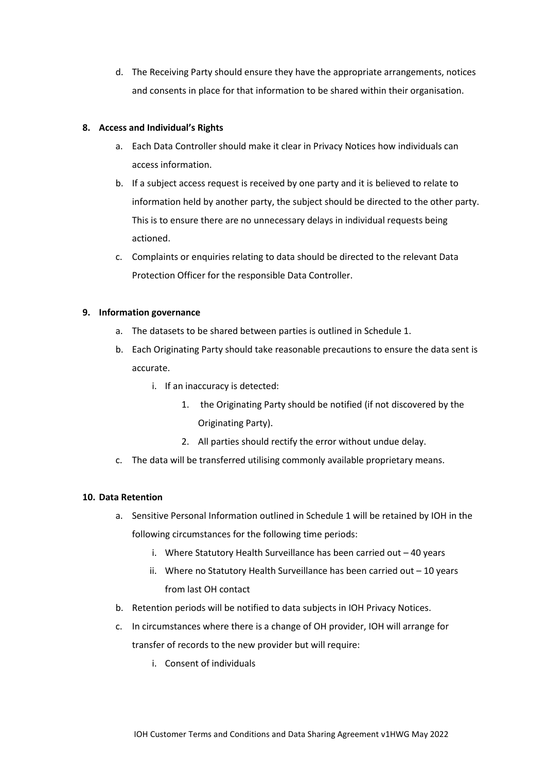d. The Receiving Party should ensure they have the appropriate arrangements, notices and consents in place for that information to be shared within their organisation.

#### **8. Access and Individual's Rights**

- a. Each Data Controller should make it clear in Privacy Notices how individuals can access information.
- b. If a subject access request is received by one party and it is believed to relate to information held by another party, the subject should be directed to the other party. This is to ensure there are no unnecessary delays in individual requests being actioned.
- c. Complaints or enquiries relating to data should be directed to the relevant Data Protection Officer for the responsible Data Controller.

#### **9. Information governance**

- a. The datasets to be shared between parties is outlined in Schedule 1.
- b. Each Originating Party should take reasonable precautions to ensure the data sent is accurate.
	- i. If an inaccuracy is detected:
		- 1. the Originating Party should be notified (if not discovered by the Originating Party).
		- 2. All parties should rectify the error without undue delay.
- c. The data will be transferred utilising commonly available proprietary means.

## **10. Data Retention**

- a. Sensitive Personal Information outlined in Schedule 1 will be retained by IOH in the following circumstances for the following time periods:
	- i. Where Statutory Health Surveillance has been carried out 40 years
	- ii. Where no Statutory Health Surveillance has been carried out 10 years from last OH contact
- b. Retention periods will be notified to data subjects in IOH Privacy Notices.
- c. In circumstances where there is a change of OH provider, IOH will arrange for transfer of records to the new provider but will require:
	- i. Consent of individuals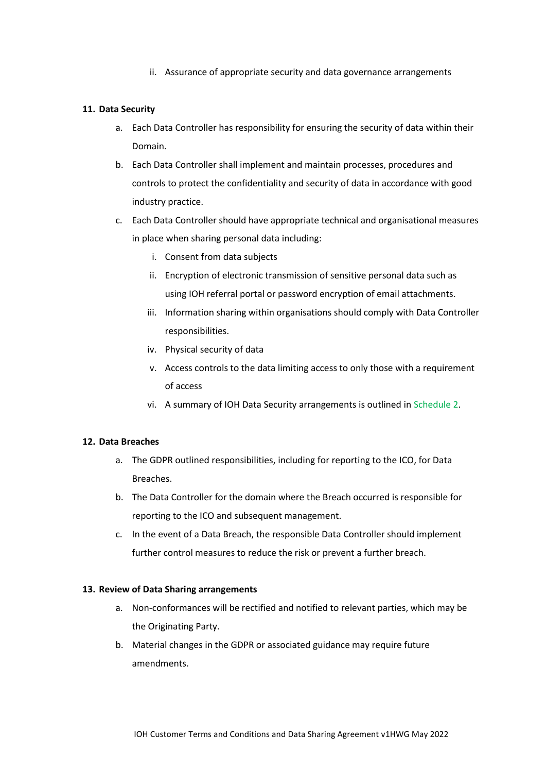ii. Assurance of appropriate security and data governance arrangements

#### **11. Data Security**

- a. Each Data Controller has responsibility for ensuring the security of data within their Domain.
- b. Each Data Controller shall implement and maintain processes, procedures and controls to protect the confidentiality and security of data in accordance with good industry practice.
- c. Each Data Controller should have appropriate technical and organisational measures in place when sharing personal data including:
	- i. Consent from data subjects
	- ii. Encryption of electronic transmission of sensitive personal data such as using IOH referral portal or password encryption of email attachments.
	- iii. Information sharing within organisations should comply with Data Controller responsibilities.
	- iv. Physical security of data
	- v. Access controls to the data limiting access to only those with a requirement of access
	- vi. A summary of IOH Data Security arrangements is outlined in Schedule 2.

#### **12. Data Breaches**

- a. The GDPR outlined responsibilities, including for reporting to the ICO, for Data Breaches.
- b. The Data Controller for the domain where the Breach occurred is responsible for reporting to the ICO and subsequent management.
- c. In the event of a Data Breach, the responsible Data Controller should implement further control measures to reduce the risk or prevent a further breach.

#### **13. Review of Data Sharing arrangements**

- a. Non-conformances will be rectified and notified to relevant parties, which may be the Originating Party.
- b. Material changes in the GDPR or associated guidance may require future amendments.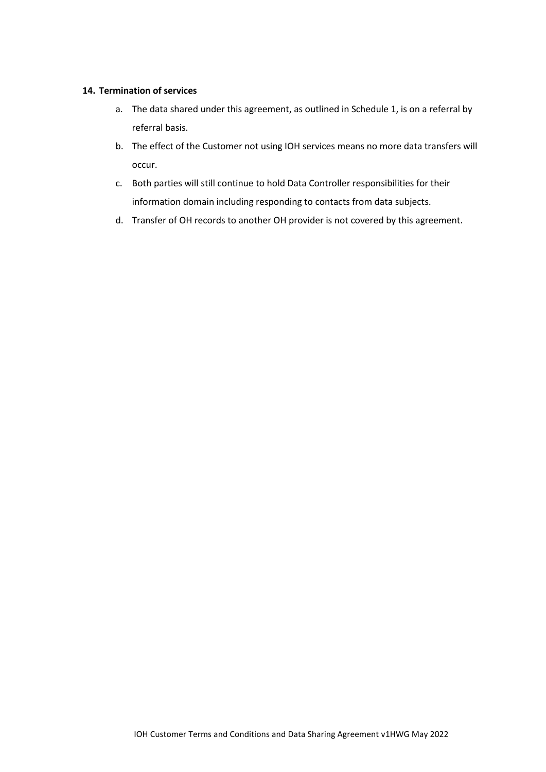#### **14. Termination of services**

- a. The data shared under this agreement, as outlined in Schedule 1, is on a referral by referral basis.
- b. The effect of the Customer not using IOH services means no more data transfers will occur.
- c. Both parties will still continue to hold Data Controller responsibilities for their information domain including responding to contacts from data subjects.
- d. Transfer of OH records to another OH provider is not covered by this agreement.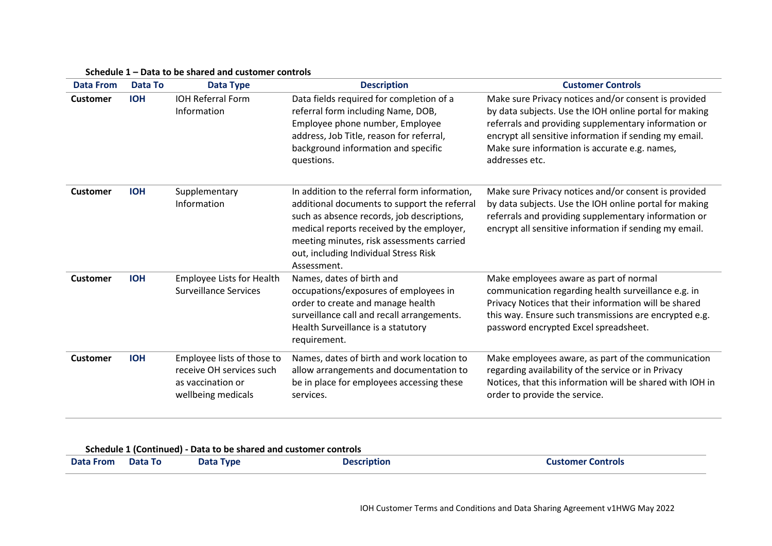| <b>Data From</b> | Data To    | <b>Data Type</b>                                                                                  | <b>Description</b>                                                                                                                                                                                                                                                                            | <b>Customer Controls</b>                                                                                                                                                                                                                                                                            |
|------------------|------------|---------------------------------------------------------------------------------------------------|-----------------------------------------------------------------------------------------------------------------------------------------------------------------------------------------------------------------------------------------------------------------------------------------------|-----------------------------------------------------------------------------------------------------------------------------------------------------------------------------------------------------------------------------------------------------------------------------------------------------|
| <b>Customer</b>  | <b>IOH</b> | <b>IOH Referral Form</b><br>Information                                                           | Data fields required for completion of a<br>referral form including Name, DOB,<br>Employee phone number, Employee<br>address, Job Title, reason for referral,<br>background information and specific<br>questions.                                                                            | Make sure Privacy notices and/or consent is provided<br>by data subjects. Use the IOH online portal for making<br>referrals and providing supplementary information or<br>encrypt all sensitive information if sending my email.<br>Make sure information is accurate e.g. names,<br>addresses etc. |
| <b>Customer</b>  | <b>IOH</b> | Supplementary<br>Information                                                                      | In addition to the referral form information,<br>additional documents to support the referral<br>such as absence records, job descriptions,<br>medical reports received by the employer,<br>meeting minutes, risk assessments carried<br>out, including Individual Stress Risk<br>Assessment. | Make sure Privacy notices and/or consent is provided<br>by data subjects. Use the IOH online portal for making<br>referrals and providing supplementary information or<br>encrypt all sensitive information if sending my email.                                                                    |
| <b>Customer</b>  | <b>IOH</b> | <b>Employee Lists for Health</b><br><b>Surveillance Services</b>                                  | Names, dates of birth and<br>occupations/exposures of employees in<br>order to create and manage health<br>surveillance call and recall arrangements.<br>Health Surveillance is a statutory<br>requirement.                                                                                   | Make employees aware as part of normal<br>communication regarding health surveillance e.g. in<br>Privacy Notices that their information will be shared<br>this way. Ensure such transmissions are encrypted e.g.<br>password encrypted Excel spreadsheet.                                           |
| <b>Customer</b>  | <b>IOH</b> | Employee lists of those to<br>receive OH services such<br>as vaccination or<br>wellbeing medicals | Names, dates of birth and work location to<br>allow arrangements and documentation to<br>be in place for employees accessing these<br>services.                                                                                                                                               | Make employees aware, as part of the communication<br>regarding availability of the service or in Privacy<br>Notices, that this information will be shared with IOH in<br>order to provide the service.                                                                                             |

#### **Schedule 1 – Data to be shared and customer controls**

## **Schedule 1 (Continued) - Data to be shared and customer controls**

| <b>Data From</b> | <b>Data To</b> | <b>Data Type</b> | <b>Description</b> | <b>Customer Controls</b> |
|------------------|----------------|------------------|--------------------|--------------------------|
|------------------|----------------|------------------|--------------------|--------------------------|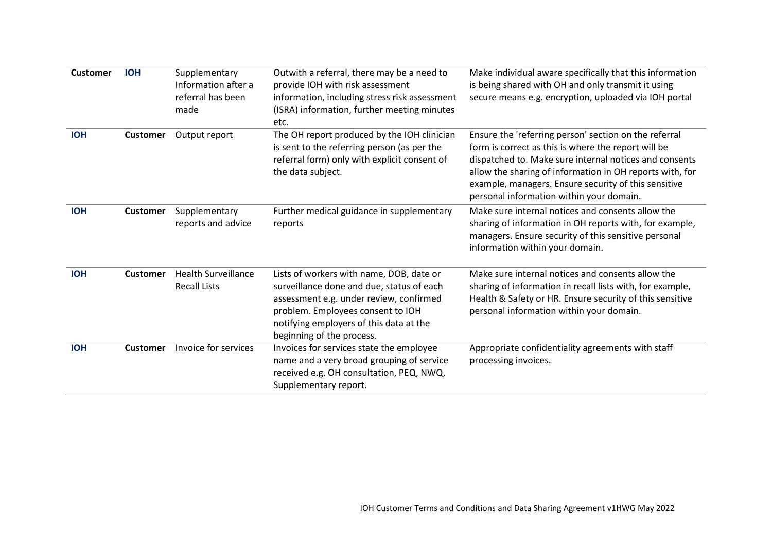| <b>Customer</b> | <b>IOH</b>      | Supplementary<br>Information after a<br>referral has been<br>made | Outwith a referral, there may be a need to<br>provide IOH with risk assessment<br>information, including stress risk assessment<br>(ISRA) information, further meeting minutes<br>etc.                                                        | Make individual aware specifically that this information<br>is being shared with OH and only transmit it using<br>secure means e.g. encryption, uploaded via IOH portal                                                                                                                                                                |
|-----------------|-----------------|-------------------------------------------------------------------|-----------------------------------------------------------------------------------------------------------------------------------------------------------------------------------------------------------------------------------------------|----------------------------------------------------------------------------------------------------------------------------------------------------------------------------------------------------------------------------------------------------------------------------------------------------------------------------------------|
| <b>IOH</b>      | <b>Customer</b> | Output report                                                     | The OH report produced by the IOH clinician<br>is sent to the referring person (as per the<br>referral form) only with explicit consent of<br>the data subject.                                                                               | Ensure the 'referring person' section on the referral<br>form is correct as this is where the report will be<br>dispatched to. Make sure internal notices and consents<br>allow the sharing of information in OH reports with, for<br>example, managers. Ensure security of this sensitive<br>personal information within your domain. |
| <b>IOH</b>      | <b>Customer</b> | Supplementary<br>reports and advice                               | Further medical guidance in supplementary<br>reports                                                                                                                                                                                          | Make sure internal notices and consents allow the<br>sharing of information in OH reports with, for example,<br>managers. Ensure security of this sensitive personal<br>information within your domain.                                                                                                                                |
| <b>IOH</b>      | <b>Customer</b> | <b>Health Surveillance</b><br><b>Recall Lists</b>                 | Lists of workers with name, DOB, date or<br>surveillance done and due, status of each<br>assessment e.g. under review, confirmed<br>problem. Employees consent to IOH<br>notifying employers of this data at the<br>beginning of the process. | Make sure internal notices and consents allow the<br>sharing of information in recall lists with, for example,<br>Health & Safety or HR. Ensure security of this sensitive<br>personal information within your domain.                                                                                                                 |
| <b>IOH</b>      | <b>Customer</b> | Invoice for services                                              | Invoices for services state the employee<br>name and a very broad grouping of service<br>received e.g. OH consultation, PEQ, NWQ,<br>Supplementary report.                                                                                    | Appropriate confidentiality agreements with staff<br>processing invoices.                                                                                                                                                                                                                                                              |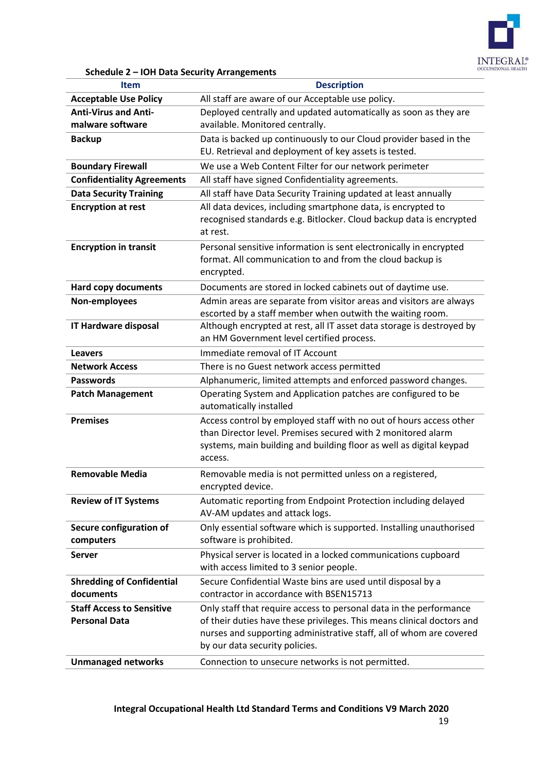

**Schedule 2 – IOH Data Security Arrangements**

| <b>Item</b>                                              | <b>Description</b>                                                                                                                                                                                                                                    |  |
|----------------------------------------------------------|-------------------------------------------------------------------------------------------------------------------------------------------------------------------------------------------------------------------------------------------------------|--|
| <b>Acceptable Use Policy</b>                             | All staff are aware of our Acceptable use policy.                                                                                                                                                                                                     |  |
| <b>Anti-Virus and Anti-</b>                              | Deployed centrally and updated automatically as soon as they are                                                                                                                                                                                      |  |
| malware software                                         | available. Monitored centrally.                                                                                                                                                                                                                       |  |
| <b>Backup</b>                                            | Data is backed up continuously to our Cloud provider based in the<br>EU. Retrieval and deployment of key assets is tested.                                                                                                                            |  |
| <b>Boundary Firewall</b>                                 | We use a Web Content Filter for our network perimeter                                                                                                                                                                                                 |  |
| <b>Confidentiality Agreements</b>                        | All staff have signed Confidentiality agreements.                                                                                                                                                                                                     |  |
| <b>Data Security Training</b>                            | All staff have Data Security Training updated at least annually                                                                                                                                                                                       |  |
| <b>Encryption at rest</b>                                | All data devices, including smartphone data, is encrypted to<br>recognised standards e.g. Bitlocker. Cloud backup data is encrypted<br>at rest.                                                                                                       |  |
| <b>Encryption in transit</b>                             | Personal sensitive information is sent electronically in encrypted<br>format. All communication to and from the cloud backup is<br>encrypted.                                                                                                         |  |
| <b>Hard copy documents</b>                               | Documents are stored in locked cabinets out of daytime use.                                                                                                                                                                                           |  |
| Non-employees                                            | Admin areas are separate from visitor areas and visitors are always<br>escorted by a staff member when outwith the waiting room.                                                                                                                      |  |
| <b>IT Hardware disposal</b>                              | Although encrypted at rest, all IT asset data storage is destroyed by<br>an HM Government level certified process.                                                                                                                                    |  |
| <b>Leavers</b>                                           | Immediate removal of IT Account                                                                                                                                                                                                                       |  |
| <b>Network Access</b>                                    | There is no Guest network access permitted                                                                                                                                                                                                            |  |
| <b>Passwords</b>                                         | Alphanumeric, limited attempts and enforced password changes.                                                                                                                                                                                         |  |
| <b>Patch Management</b>                                  | Operating System and Application patches are configured to be<br>automatically installed                                                                                                                                                              |  |
| <b>Premises</b>                                          | Access control by employed staff with no out of hours access other<br>than Director level. Premises secured with 2 monitored alarm<br>systems, main building and building floor as well as digital keypad<br>access.                                  |  |
| <b>Removable Media</b>                                   | Removable media is not permitted unless on a registered,<br>encrypted device.                                                                                                                                                                         |  |
| <b>Review of IT Systems</b>                              | Automatic reporting from Endpoint Protection including delayed<br>AV-AM updates and attack logs.                                                                                                                                                      |  |
| Secure configuration of<br>computers                     | Only essential software which is supported. Installing unauthorised<br>software is prohibited.                                                                                                                                                        |  |
| <b>Server</b>                                            | Physical server is located in a locked communications cupboard<br>with access limited to 3 senior people.                                                                                                                                             |  |
| <b>Shredding of Confidential</b><br>documents            | Secure Confidential Waste bins are used until disposal by a<br>contractor in accordance with BSEN15713                                                                                                                                                |  |
| <b>Staff Access to Sensitive</b><br><b>Personal Data</b> | Only staff that require access to personal data in the performance<br>of their duties have these privileges. This means clinical doctors and<br>nurses and supporting administrative staff, all of whom are covered<br>by our data security policies. |  |
| <b>Unmanaged networks</b>                                | Connection to unsecure networks is not permitted.                                                                                                                                                                                                     |  |